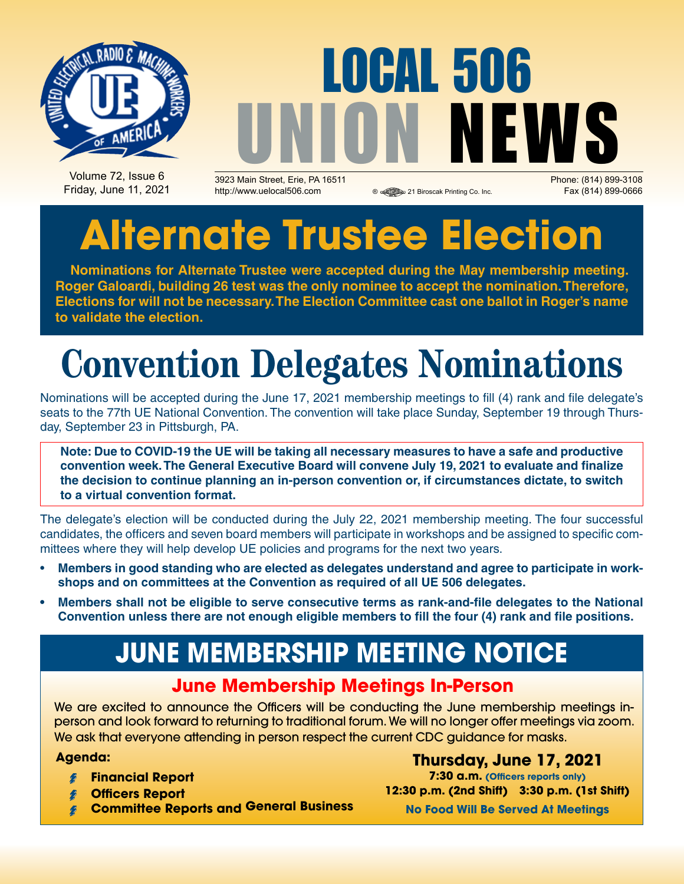

# LOCAL 506 UNION NEWS

Volume 72, Issue 6 Friday, June 11, 2021

3923 Main Street, Erie, PA 16511 Phone: (814) 899-3108 http://www.uelocal506.com 
<br> **a** a 21 Biroscak Printing Co. Inc. Fax (814) 899-0666

## **Alternate Trustee Election**

**Nominations for Alternate Trustee were accepted during the May membership meeting. Roger Galoardi, building 26 test was the only nominee to accept the nomination. Therefore, Elections for will not be necessary. The Election Committee cast one ballot in Roger's name to validate the election.**

## **Convention Delegates Nominations**

Nominations will be accepted during the June 17, 2021 membership meetings to fill (4) rank and file delegate's seats to the 77th UE National Convention. The convention will take place Sunday, September 19 through Thursday, September 23 in Pittsburgh, PA.

**Note: Due to COVID-19 the UE will be taking all necessary measures to have a safe and productive convention week. The General Executive Board will convene July 19, 2021 to evaluate and finalize the decision to continue planning an in-person convention or, if circumstances dictate, to switch to a virtual convention format.**

The delegate's election will be conducted during the July 22, 2021 membership meeting. The four successful candidates, the officers and seven board members will participate in workshops and be assigned to specific committees where they will help develop UE policies and programs for the next two years.

- Members in good standing who are elected as delegates understand and agree to participate in work**shops and on committees at the Convention as required of all UE 506 delegates.**
- **• Members shall not be eligible to serve consecutive terms as rank-and-file delegates to the National Convention unless there are not enough eligible members to fill the four (4) rank and file positions.**

## **JUNE Membership Meeting Notice**

### **June Membership Meetings In-Person**

We are excited to announce the Officers will be conducting the June membership meetings inperson and look forward to returning to traditional forum. We will no longer offer meetings via zoom. We ask that everyone attending in person respect the current CDC guidance for masks.

#### **Agenda:**

- **Financial Report**
- **Officers Report**
- **Committee Reports and General Business**

**Thursday, June 17, 2021 7:30 a.m. (Officers reports only) 12:30 p.m. (2nd Shift) 3:30 p.m. (1st Shift)**

**No Food Will Be Served At Meetings**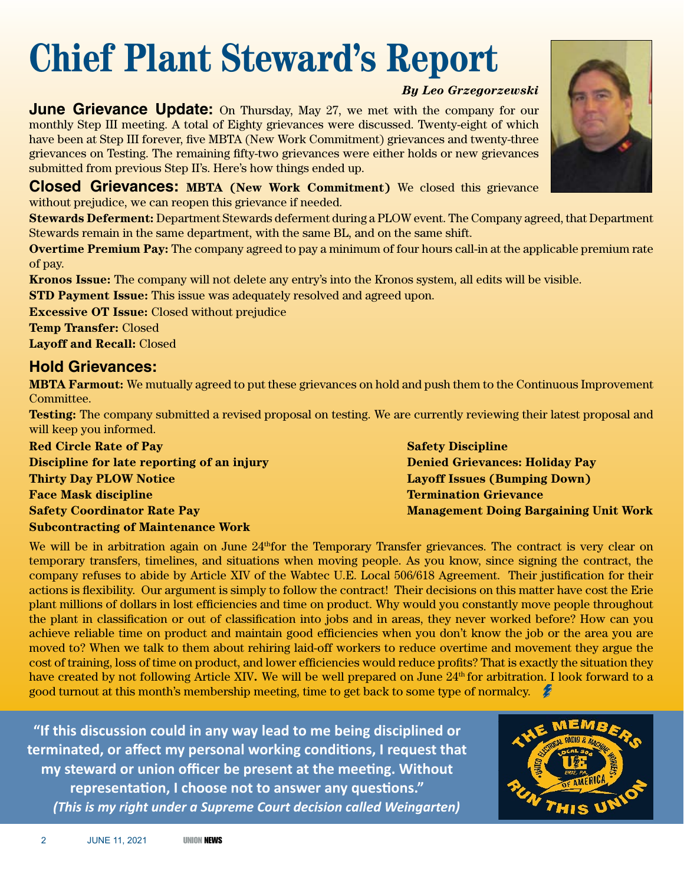## **Chief Plant Steward's Report**

#### *By Leo Grzegorzewski*

**June Grievance Update:** On Thursday, May 27, we met with the company for our monthly Step III meeting. A total of Eighty grievances were discussed. Twenty-eight of which have been at Step III forever, five MBTA (New Work Commitment) grievances and twenty-three grievances on Testing. The remaining fifty-two grievances were either holds or new grievances submitted from previous Step II's. Here's how things ended up.

**Closed Grievances: MBTA (New Work Commitment)** We closed this grievance without prejudice, we can reopen this grievance if needed.

**Stewards Deferment:** Department Stewards deferment during a PLOW event. The Company agreed, that Department Stewards remain in the same department, with the same BL, and on the same shift.

**Overtime Premium Pay:** The company agreed to pay a minimum of four hours call-in at the applicable premium rate of pay.

**Kronos Issue:** The company will not delete any entry's into the Kronos system, all edits will be visible.

**STD Payment Issue:** This issue was adequately resolved and agreed upon.

**Excessive OT Issue:** Closed without prejudice **Temp Transfer:** Closed

**Layoff and Recall:** Closed

### **Hold Grievances:**

**MBTA Farmout:** We mutually agreed to put these grievances on hold and push them to the Continuous Improvement Committee.

**Testing:** The company submitted a revised proposal on testing. We are currently reviewing their latest proposal and will keep you informed.

**Red Circle Rate of Pay Discipline for late reporting of an injury Thirty Day PLOW Notice Face Mask discipline Safety Coordinator Rate Pay Subcontracting of Maintenance Work**

**Safety Discipline Denied Grievances: Holiday Pay Layoff Issues (Bumping Down) Termination Grievance Management Doing Bargaining Unit Work**

We will be in arbitration again on June 24<sup>th</sup> for the Temporary Transfer grievances. The contract is very clear on temporary transfers, timelines, and situations when moving people. As you know, since signing the contract, the company refuses to abide by Article XIV of the Wabtec U.E. Local 506/618 Agreement. Their justification for their actions is flexibility. Our argument is simply to follow the contract! Their decisions on this matter have cost the Erie plant millions of dollars in lost efficiencies and time on product. Why would you constantly move people throughout the plant in classification or out of classification into jobs and in areas, they never worked before? How can you achieve reliable time on product and maintain good efficiencies when you don't know the job or the area you are moved to? When we talk to them about rehiring laid-off workers to reduce overtime and movement they argue the cost of training, loss of time on product, and lower efficiencies would reduce profits? That is exactly the situation they have created by not following Article XIV. We will be well prepared on June 24<sup>th</sup> for arbitration. I look forward to a good turnout at this month's membership meeting, time to get back to some type of normalcy.

**"If this discussion could in any way lead to me being disciplined or terminated, or affect my personal working conditions, I request that my steward or union officer be present at the meeting. Without representation, I choose not to answer any questions."** *(This is my right under a Supreme Court decision called Weingarten)*



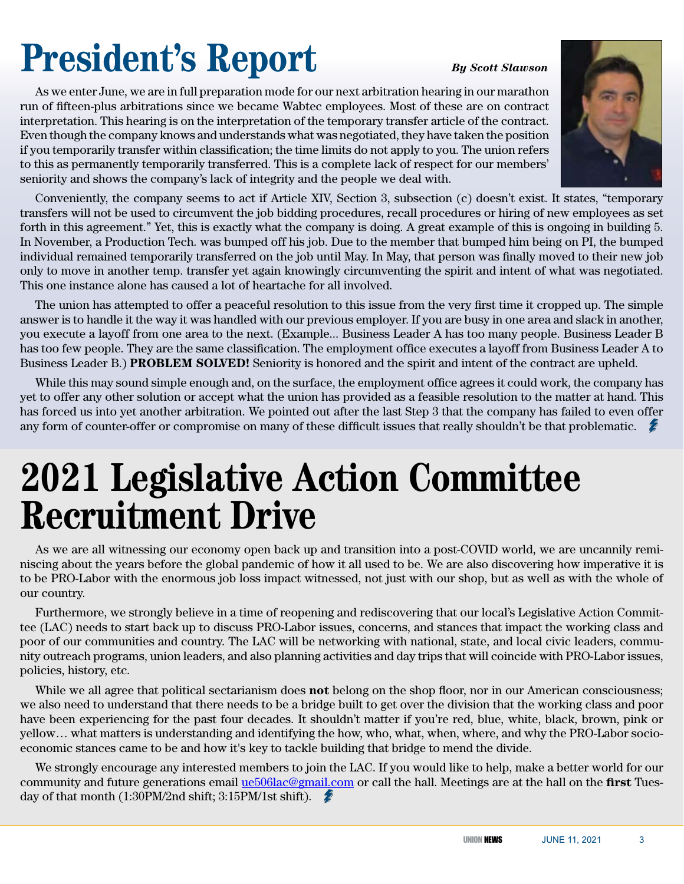## **President's Report** *By Scott Slawson*

As we enter June, we are in full preparation mode for our next arbitration hearing in our marathon run of fifteen-plus arbitrations since we became Wabtec employees. Most of these are on contract interpretation. This hearing is on the interpretation of the temporary transfer article of the contract. Even though the company knows and understands what was negotiated, they have taken the position if you temporarily transfer within classification; the time limits do not apply to you. The union refers to this as permanently temporarily transferred. This is a complete lack of respect for our members' seniority and shows the company's lack of integrity and the people we deal with.

Conveniently, the company seems to act if Article XIV, Section 3, subsection (c) doesn't exist. It states, "temporary transfers will not be used to circumvent the job bidding procedures, recall procedures or hiring of new employees as set forth in this agreement." Yet, this is exactly what the company is doing. A great example of this is ongoing in building 5. In November, a Production Tech. was bumped off his job. Due to the member that bumped him being on PI, the bumped individual remained temporarily transferred on the job until May. In May, that person was finally moved to their new job only to move in another temp. transfer yet again knowingly circumventing the spirit and intent of what was negotiated. This one instance alone has caused a lot of heartache for all involved.

The union has attempted to offer a peaceful resolution to this issue from the very first time it cropped up. The simple answer is to handle it the way it was handled with our previous employer. If you are busy in one area and slack in another, you execute a layoff from one area to the next. (Example... Business Leader A has too many people. Business Leader B has too few people. They are the same classification. The employment office executes a layoff from Business Leader A to Business Leader B.) **PROBLEM SOLVED!** Seniority is honored and the spirit and intent of the contract are upheld.

While this may sound simple enough and, on the surface, the employment office agrees it could work, the company has yet to offer any other solution or accept what the union has provided as a feasible resolution to the matter at hand. This has forced us into yet another arbitration. We pointed out after the last Step 3 that the company has failed to even offer any form of counter-offer or compromise on many of these difficult issues that really shouldn't be that problematic.

## **2021 Legislative Action Committee Recruitment Drive**

As we are all witnessing our economy open back up and transition into a post-COVID world, we are uncannily reminiscing about the years before the global pandemic of how it all used to be. We are also discovering how imperative it is to be PRO-Labor with the enormous job loss impact witnessed, not just with our shop, but as well as with the whole of our country.

Furthermore, we strongly believe in a time of reopening and rediscovering that our local's Legislative Action Committee (LAC) needs to start back up to discuss PRO-Labor issues, concerns, and stances that impact the working class and poor of our communities and country. The LAC will be networking with national, state, and local civic leaders, community outreach programs, union leaders, and also planning activities and day trips that will coincide with PRO-Labor issues, policies, history, etc.

While we all agree that political sectarianism does **not** belong on the shop floor, nor in our American consciousness; we also need to understand that there needs to be a bridge built to get over the division that the working class and poor have been experiencing for the past four decades. It shouldn't matter if you're red, blue, white, black, brown, pink or yellow… what matters is understanding and identifying the how, who, what, when, where, and why the PRO-Labor socioeconomic stances came to be and how it's key to tackle building that bridge to mend the divide.

We strongly encourage any interested members to join the LAC. If you would like to help, make a better world for our community and future generations email ue506lac@gmail.com or call the hall. Meetings are at the hall on the **first** Tuesday of that month (1:30PM/2nd shift; 3:15PM/1st shift).

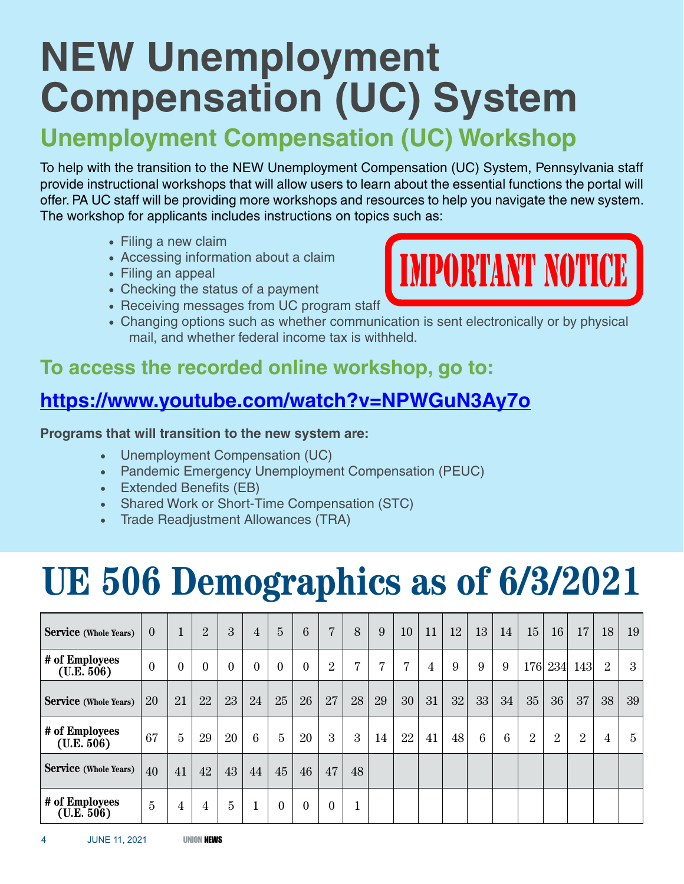## **NEW Unemployment Compensation (UC) System**

## **Unemployment Compensation (UC) Workshop**

To help with the transition to the NEW Unemployment Compensation (UC) System, Pennsylvania staff provide instructional workshops that will allow users to learn about the essential functions the portal will offer. PA UC staff will be providing more workshops and resources to help you navigate the new system. The workshop for applicants includes instructions on topics such as:

- Filing a new claim
- Accessing information about a claim
- Filing an appeal
- Checking the status of a payment
- Receiving messages from UC program staff
- Changing options such as whether communication is sent electronically or by physical mail, and whether federal income tax is withheld.

### **To access the recorded online workshop, go to:**

### **https://www.youtube.com/watch?v=NPWGuN3Ay7o**

### **Programs that will transition to the new system are:**

- • Unemployment Compensation (UC)
- • Pandemic Emergency Unemployment Compensation (PEUC)
- Extended Benefits (EB)
- Shared Work or Short-Time Compensation (STC)
- • Trade Readjustment Allowances (TRA)

## **UE 506 Demographics as of 6/3/2021**

| <b>Service</b> (Whole Years)   | $\theta$       | $\mathbf{1}$   | $\overline{2}$ | 3              | $\overline{4}$ | $\overline{5}$ | $6\phantom{1}6$ | $\overline{7}$ | 8              | 9              | 10             | 11             | 12 | 13 | 14 | 15 | 16 <sup>°</sup> | 17             | 18             | 19 <sup>°</sup> |
|--------------------------------|----------------|----------------|----------------|----------------|----------------|----------------|-----------------|----------------|----------------|----------------|----------------|----------------|----|----|----|----|-----------------|----------------|----------------|-----------------|
| # of Employees<br>( U.E. 506 ) | $\mathbf{0}$   | $\mathbf{0}$   | $\overline{0}$ | $\overline{0}$ | $\mathbf{0}$   | $\theta$       | $\theta$        | 2              | $\overline{7}$ | $\overline{7}$ | $\overline{7}$ | $\overline{4}$ | 9  | 9  | 9  |    | 176 234         | 143            | 2              | 3               |
| Service (Whole Years)          | 20             | 21             | 22             | 23             | 24             | 25             | 26              | 27             | 28             | 29             | 30             | 31             | 32 | 33 | 34 | 35 | 36              | 37             | 38             | 39 <sup>°</sup> |
| # of Employees<br>( U.E. 506 ) | 67             | $\overline{5}$ | 29             | 20             | 6              | 5              | 20              | 3              | 3              | 14             | 22             | 41             | 48 | 6  | 6  | 2  | $\overline{2}$  | $\overline{2}$ | $\overline{4}$ | 5               |
| <b>Service</b> (Whole Years)   | 40             | 41             | 42             | 43             | 44             | 45             | 46              | 47             | 48             |                |                |                |    |    |    |    |                 |                |                |                 |
| # of Employees<br>( U.E. 506 ) | $\overline{5}$ | 4              | $\overline{4}$ | $\overline{5}$ | $\mathbf{1}$   | $\theta$       | $\theta$        | $\theta$       |                |                |                |                |    |    |    |    |                 |                |                |                 |

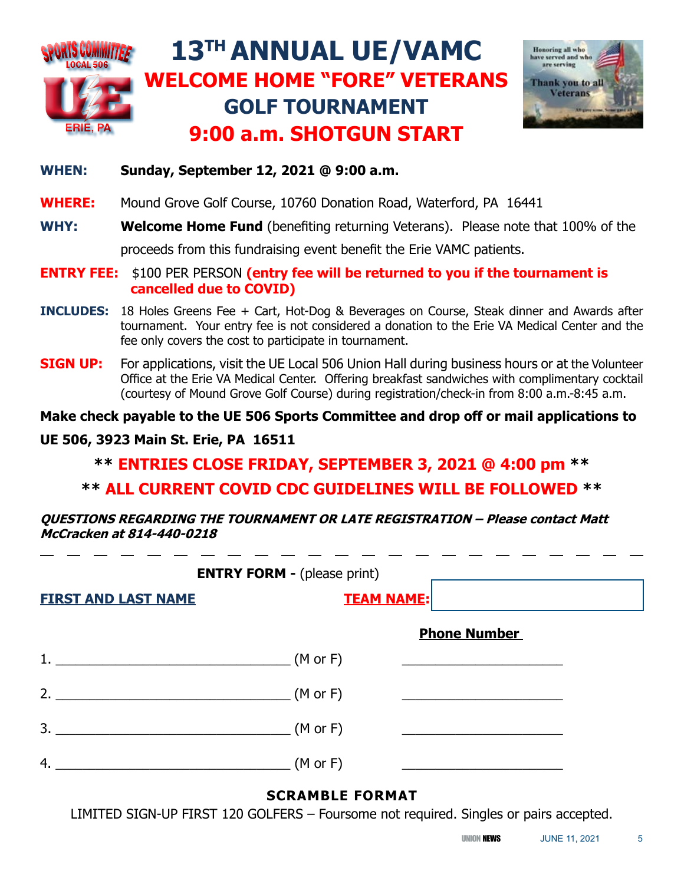

#### **WHEN: Sunday, September 12, 2021 @ 9:00 a.m.**

**WHERE:** Mound Grove Golf Course, 10760 Donation Road, Waterford, PA 16441

**WHY: Welcome Home Fund** (benefiting returning Veterans). Please note that 100% of the proceeds from this fundraising event benefit the Erie VAMC patients.

- **ENTRY FEE:** \$100 PER PERSON **(entry fee will be returned to you if the tournament is cancelled due to COVID)**
- **INCLUDES:** 18 Holes Greens Fee + Cart, Hot-Dog & Beverages on Course, Steak dinner and Awards after tournament. Your entry fee is not considered a donation to the Erie VA Medical Center and the fee only covers the cost to participate in tournament.
- **SIGN UP:** For applications, visit the UE Local 506 Union Hall during business hours or at the Volunteer Office at the Erie VA Medical Center. Offering breakfast sandwiches with complimentary cocktail (courtesy of Mound Grove Golf Course) during registration/check-in from 8:00 a.m.-8:45 a.m.

**Make check payable to the UE 506 Sports Committee and drop off or mail applications to** 

#### **UE 506, 3923 Main St. Erie, PA 16511**

### **\*\* ENTRIES CLOSE FRIDAY, SEPTEMBER 3, 2021 @ 4:00 pm \*\***

### **\*\* ALL CURRENT COVID CDC GUIDELINES WILL BE FOLLOWED \*\***

**QUESTIONS REGARDING THE TOURNAMENT OR LATE REGISTRATION – Please contact Matt McCracken at 814-440-0218** 

| <b>ENTRY FORM - (please print)</b> |                   |                     |  |  |  |  |  |  |
|------------------------------------|-------------------|---------------------|--|--|--|--|--|--|
| <b>FIRST AND LAST NAME</b>         | <b>TEAM NAME:</b> |                     |  |  |  |  |  |  |
|                                    |                   | <b>Phone Number</b> |  |  |  |  |  |  |
|                                    | $(M$ or F)        |                     |  |  |  |  |  |  |
| 2. $(M \text{ or } F)$             |                   |                     |  |  |  |  |  |  |
| 3.<br>$(M \text{ or } F)$          |                   |                     |  |  |  |  |  |  |
| 4.                                 | $(M$ or F)        |                     |  |  |  |  |  |  |

### **SCRAMBLE FORMAT**

LIMITED SIGN-UP FIRST 120 GOLFERS – Foursome not required. Singles or pairs accepted.